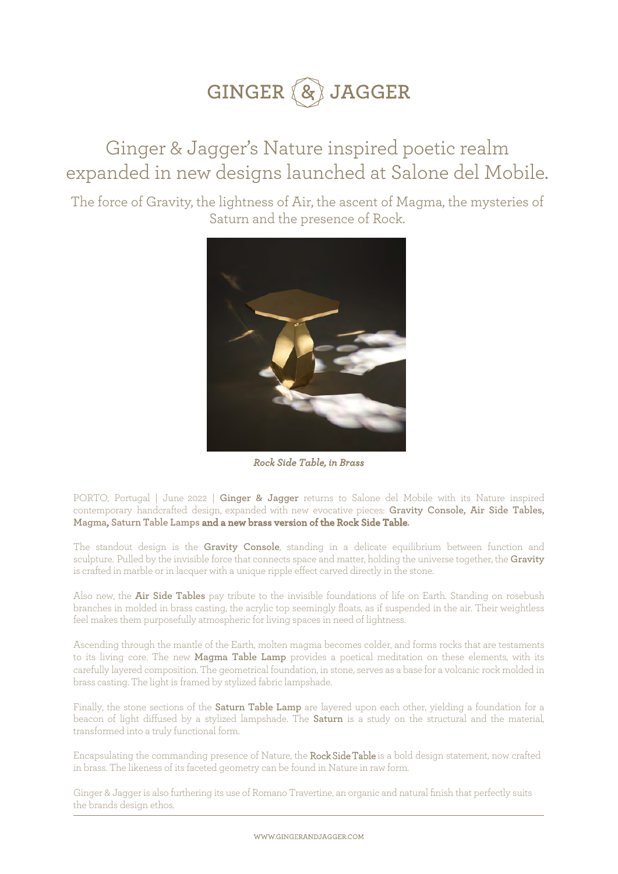### Ginger & Jagger's Nature inspired poetic realm expanded in new designs launched at Salone del Mobile.

The force of Gravity, the lightness of Air, the ascent of Magma, the mysteries of Saturn and the presence of Rock.



*Rock Side Table, in Brass*

PORTO, Portugal | June 2022 | **Ginger & Jagger** returns to Salone del Mobile with its Nature inspired contemporary handcrafted design, expanded with new evocative pieces: **Gravity Console, Air Side Tables, Magma, Saturn Table Lamps and a new brass version of the Rock Side Table.**

The standout design is the **Gravity Console**, standing in a delicate equilibrium between function and sculpture. Pulled by the invisible force that connects space and matter, holding the universe together, the **Gravity** is crafted in marble or in lacquer with a unique ripple effect carved directly in the stone.

Also new, the **Air Side Tables** pay tribute to the invisible foundations of life on Earth. Standing on rosebush branches in molded in brass casting, the acrylic top seemingly floats, as if suspended in the air. Their weightless feel makes them purposefully atmospheric for living spaces in need of lightness.

Ascending through the mantle of the Earth, molten magma becomes colder, and forms rocks that are testaments to its living core. The new **Magma Table Lamp** provides a poetical meditation on these elements, with its carefully layered composition. The geometrical foundation, in stone, serves as a base for a volcanic rock molded in brass casting. The light is framed by stylized fabric lampshade.

Finally, the stone sections of the **Saturn Table Lamp** are layered upon each other, yielding a foundation for a beacon of light diffused by a stylized lampshade. The **Saturn** is a study on the structural and the material, transformed into a truly functional form.

Encapsulating the commanding presence of Nature, the Rock Side Table is a bold design statement, now crafted in brass. The likeness of its faceted geometry can be found in Nature in raw form.

Ginger & Jagger is also furthering its use of Romano Travertine, an organic and natural finish that perfectly suits the brands design ethos.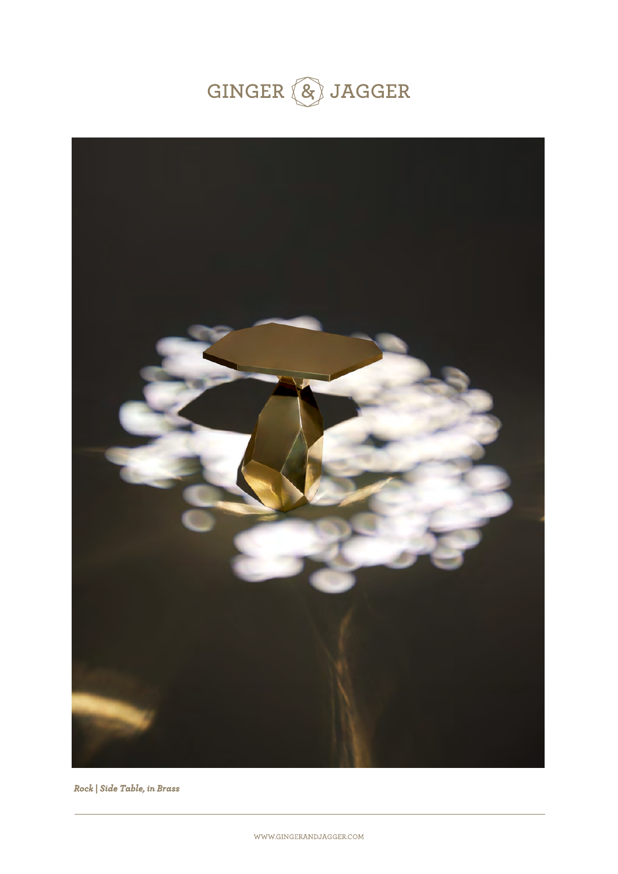



*Rock | Side Table, in Brass*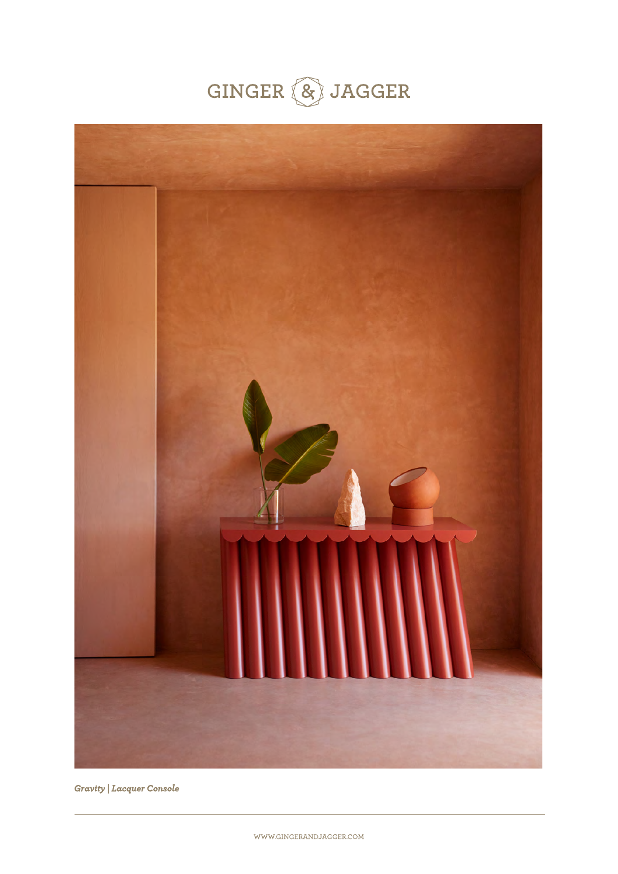



*Gravity | Lacquer Console*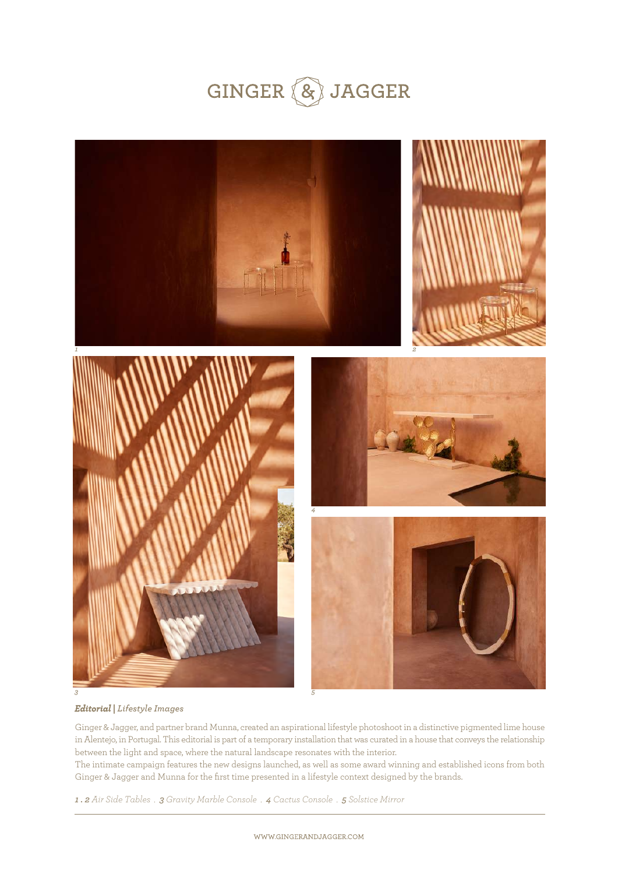



#### *Editorial | Lifestyle Images*

Ginger & Jagger, and partner brand Munna, created an aspirational lifestyle photoshoot in a distinctive pigmented lime house in Alentejo, in Portugal. This editorial is part of a temporary installation that was curated in a house that conveys the relationship between the light and space, where the natural landscape resonates with the interior. The intimate campaign features the new designs launched, as well as some award winning and established icons from both Ginger & Jagger and Munna for the first time presented in a lifestyle context designed by the brands.

*1 . 2 Air Side Tables . 3 Gravity Marble Console . 4 Cactus Console . 5 Solstice Mirror*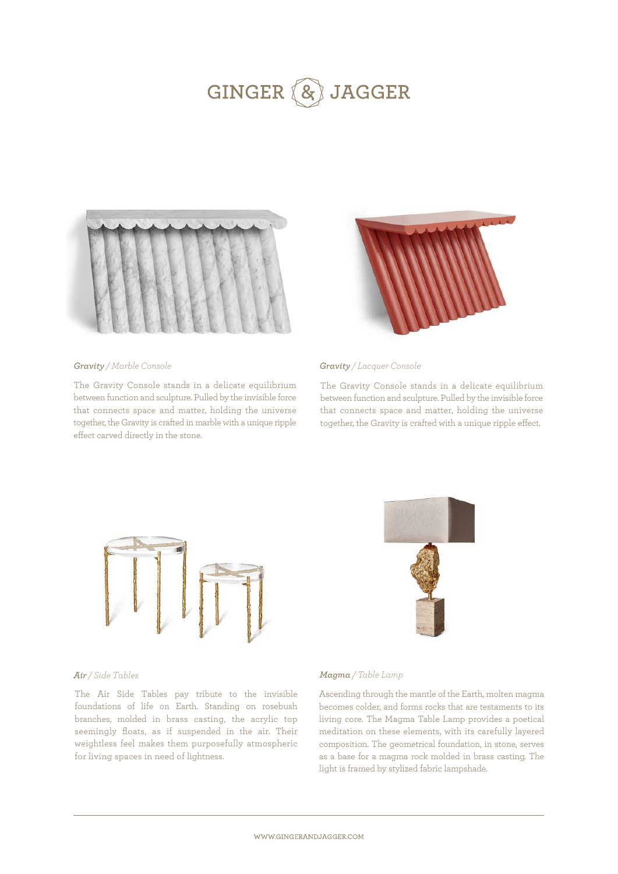

#### *Gravity / Marble Console Gravity / Lacquer Console*

The Gravity Console stands in a delicate equilibrium between function and sculpture. Pulled by the invisible force that connects space and matter, holding the universe together, the Gravity is crafted in marble with a unique ripple effect carved directly in the stone.



The Gravity Console stands in a delicate equilibrium between function and sculpture. Pulled by the invisible force that connects space and matter, holding the universe together, the Gravity is crafted with a unique ripple effect.



#### *Air / Side Tables*

The Air Side Tables pay tribute to the invisible foundations of life on Earth. Standing on rosebush branches, molded in brass casting, the acrylic top seemingly floats, as if suspended in the air. Their weightless feel makes them purposefully atmospheric for living spaces in need of lightness.



#### *Magma / Table Lamp*

Ascending through the mantle of the Earth, molten magma becomes colder, and forms rocks that are testaments to its living core. The Magma Table Lamp provides a poetical meditation on these elements, with its carefully layered composition. The geometrical foundation, in stone, serves as a base for a magma rock molded in brass casting. The light is framed by stylized fabric lampshade.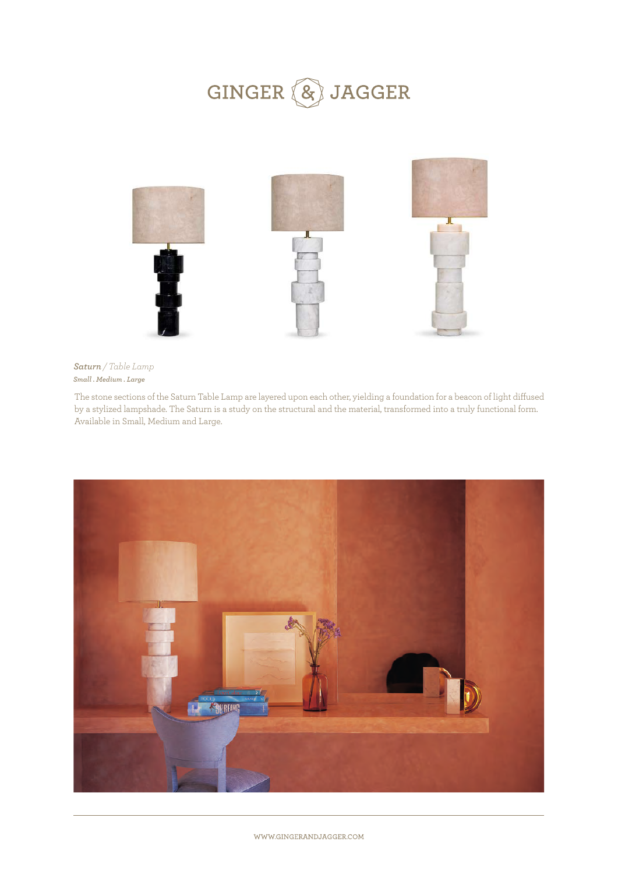

#### *Small . Medium . Large Saturn / Table Lamp*

The stone sections of the Saturn Table Lamp are layered upon each other, yielding a foundation for a beacon of light diffused by a stylized lampshade. The Saturn is a study on the structural and the material, transformed into a truly functional form. Available in Small, Medium and Large.